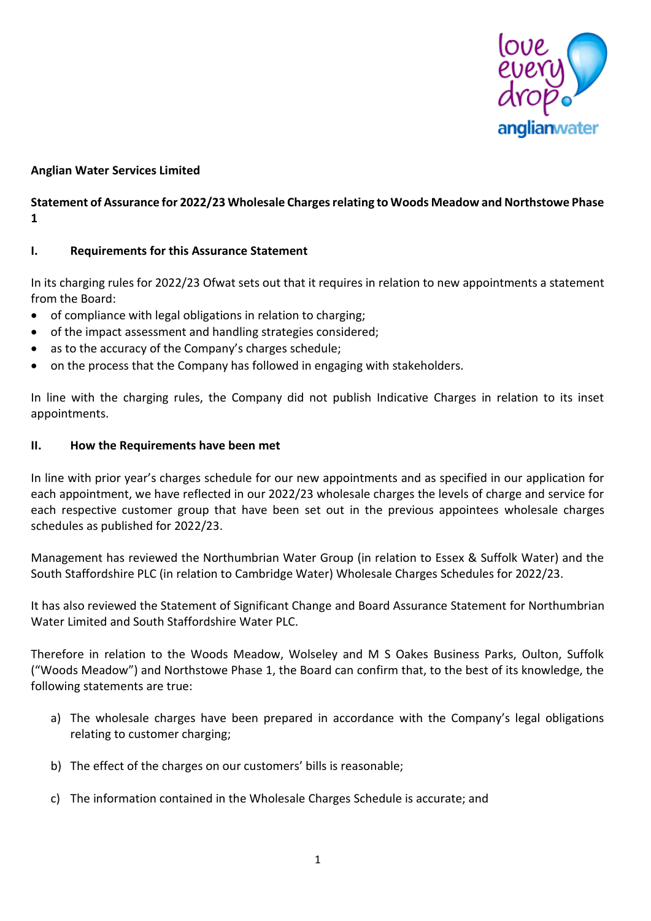

# **Anglian Water Services Limited**

# **Statement of Assurance for 2022/23 Wholesale Charges relating to Woods Meadow and Northstowe Phase 1**

### **I. Requirements for this Assurance Statement**

In its charging rules for 2022/23 Ofwat sets out that it requires in relation to new appointments a statement from the Board:

- of compliance with legal obligations in relation to charging;
- of the impact assessment and handling strategies considered;
- as to the accuracy of the Company's charges schedule;
- on the process that the Company has followed in engaging with stakeholders.

In line with the charging rules, the Company did not publish Indicative Charges in relation to its inset appointments.

### **II. How the Requirements have been met**

In line with prior year's charges schedule for our new appointments and as specified in our application for each appointment, we have reflected in our 2022/23 wholesale charges the levels of charge and service for each respective customer group that have been set out in the previous appointees wholesale charges schedules as published for 2022/23.

Management has reviewed the Northumbrian Water Group (in relation to Essex & Suffolk Water) and the South Staffordshire PLC (in relation to Cambridge Water) Wholesale Charges Schedules for 2022/23.

It has also reviewed the Statement of Significant Change and Board Assurance Statement for Northumbrian Water Limited and South Staffordshire Water PLC.

Therefore in relation to the Woods Meadow, Wolseley and M S Oakes Business Parks, Oulton, Suffolk ("Woods Meadow") and Northstowe Phase 1, the Board can confirm that, to the best of its knowledge, the following statements are true:

- a) The wholesale charges have been prepared in accordance with the Company's legal obligations relating to customer charging;
- b) The effect of the charges on our customers' bills is reasonable;
- c) The information contained in the Wholesale Charges Schedule is accurate; and